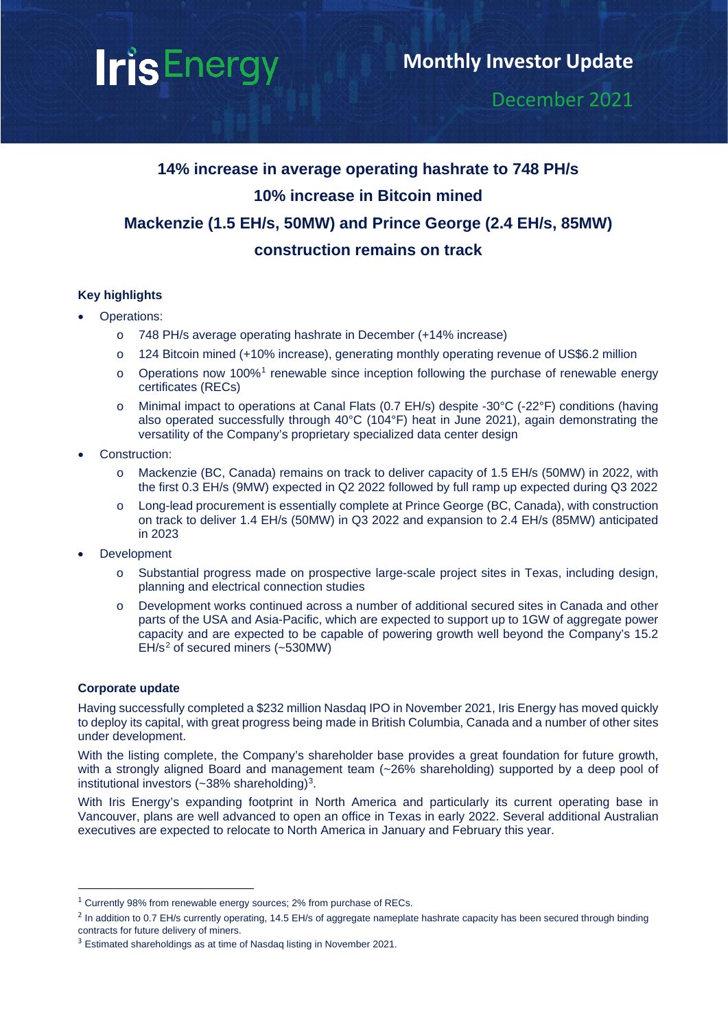# **IrisEnergy**

### December 2021

## **14% increase in average operating hashrate to 748 PH/s 10% increase in Bitcoin mined Mackenzie (1.5 EH/s, 50MW) and Prince George (2.4 EH/s, 85MW) construction remains on track**

#### **Key highlights**

- <span id="page-0-3"></span>• Operations:
	- o 748 PH/s average operating hashrate in December (+14% increase)
	- o 124 Bitcoin mined (+10% increase), generating monthly operating revenue of US\$6.2 million
	- $\circ$  Operations now [1](#page-0-0)00%<sup>1</sup> renewable since inception following the purchase of renewable energy certificates (RECs)
	- o Minimal impact to operations at Canal Flats (0.7 EH/s) despite -30°C (-22°F) conditions (having also operated successfully through 40°C (104°F) heat in June 2021), again demonstrating the versatility of the Company's proprietary specialized data center design
- Construction:
	- o Mackenzie (BC, Canada) remains on track to deliver capacity of 1.5 EH/s (50MW) in 2022, with the first 0.3 EH/s (9MW) expected in Q2 2022 followed by full ramp up expected during Q3 2022
	- o Long-lead procurement is essentially complete at Prince George (BC, Canada), with construction on track to deliver 1.4 EH/s (50MW) in Q3 2022 and expansion to 2.4 EH/s (85MW) anticipated in 2023
- **Development** 
	- o Substantial progress made on prospective large-scale project sites in Texas, including design, planning and electrical connection studies
	- o Development works continued across a number of additional secured sites in Canada and other parts of the USA and Asia-Pacific, which are expected to support up to 1GW of aggregate power capacity and are expected to be capable of powering growth well beyond the Company's 15.2  $EH/s<sup>2</sup>$  $EH/s<sup>2</sup>$  $EH/s<sup>2</sup>$  of secured miners (~530MW)

#### <span id="page-0-4"></span>**Corporate update**

Having successfully completed a \$232 million Nasdaq IPO in November 2021, Iris Energy has moved quickly to deploy its capital, with great progress being made in British Columbia, Canada and a number of other sites under development.

With the listing complete, the Company's shareholder base provides a great foundation for future growth, with a strongly aligned Board and management team (~26% shareholding) supported by a deep pool of institutional investors ( $\approx 38\%$  shareholding)<sup>3</sup>.

With Iris Energy's expanding footprint in North America and particularly its current operating base in Vancouver, plans are well advanced to open an office in Texas in early 2022. Several additional Australian executives are expected to relocate to North America in January and February this year.

<span id="page-0-0"></span><sup>&</sup>lt;sup>1</sup> Currently 98% from renewable energy sources; 2% from purchase of RECs.

<span id="page-0-1"></span> $^2$  In addition to 0.7 EH/s currently operating, 14.5 EH/s of aggregate nameplate hashrate capacity has been secured through binding contracts for future delivery of miners.

<span id="page-0-2"></span><sup>&</sup>lt;sup>3</sup> Estimated shareholdings as at time of Nasdaq listing in November 2021.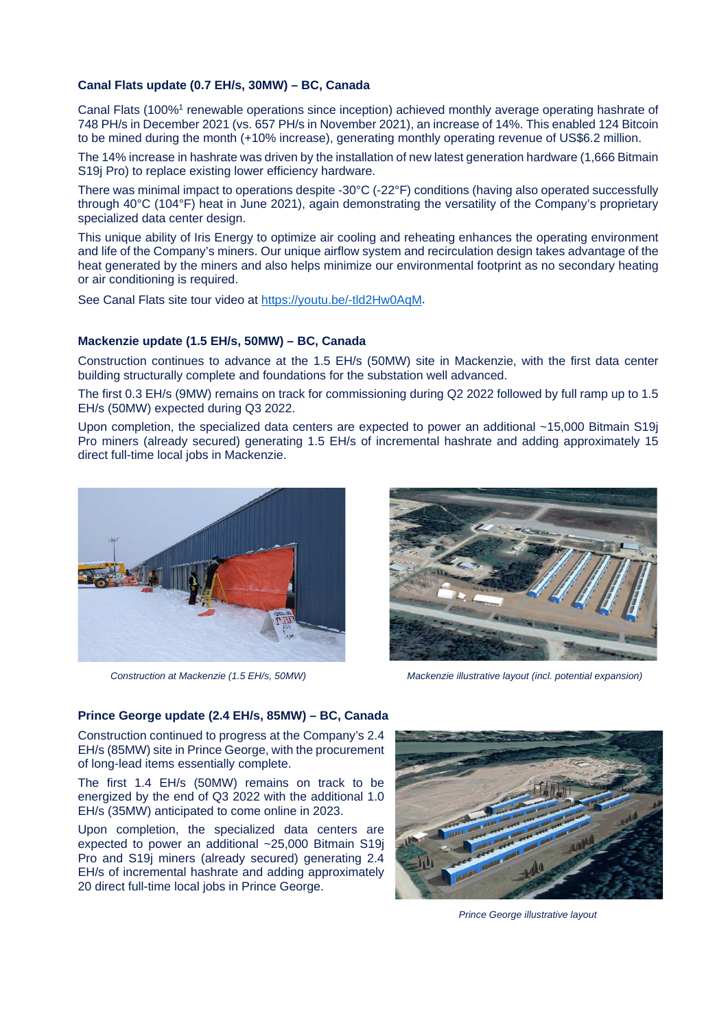#### **Canal Flats update (0.7 EH/s, 30MW) – BC, Canada**

Canal Flats (100%<sup>1</sup> renewable operations since inception) achieved monthly average operating hashrate of 748 PH/s in December 2021 (vs. 657 PH/s in November 2021), an increase of 14%. This enabled 124 Bitcoin to be mined during the month (+10% increase), generating monthly operating revenue of US\$6.2 million.

The 14% increase in hashrate was driven by the installation of new latest generation hardware (1,666 Bitmain S19*i* Pro) to replace existing lower efficiency hardware.

There was minimal impact to operations despite -30°C (-22°F) conditions (having also operated successfully through 40°C (104°F) heat in June 2021), again demonstrating the versatility of the Company's proprietary specialized data center design.

This unique ability of Iris Energy to optimize air cooling and reheating enhances the operating environment and life of the Company's miners. Our unique airflow system and recirculation design takes advantage of the heat generated by the miners and also helps minimize our environmental footprint as no secondary heating or air conditioning is required.

See Canal Flats site tour video at<https://youtu.be/-tld2Hw0AqM>.

#### **Mackenzie update (1.5 EH/s, 50MW) – BC, Canada**

Construction continues to advance at the 1.5 EH/s (50MW) site in Mackenzie, with the first data center building structurally complete and foundations for the substation well advanced.

The first 0.3 EH/s (9MW) remains on track for commissioning during Q2 2022 followed by full ramp up to 1.5 EH/s (50MW) expected during Q3 2022.

Upon completion, the specialized data centers are expected to power an additional ~15,000 Bitmain S19j Pro miners (already secured) generating 1.5 EH/s of incremental hashrate and adding approximately 15 direct full-time local jobs in Mackenzie.





 *Construction at Mackenzie (1.5 EH/s, 50MW) Mackenzie illustrative layout (incl. potential expansion)*

**Prince George update (2.4 EH/s, 85MW) – BC, Canada**

Construction continued to progress at the Company's 2.4 EH/s (85MW) site in Prince George, with the procurement of long-lead items essentially complete.

The first 1.4 EH/s (50MW) remains on track to be energized by the end of Q3 2022 with the additional 1.0 EH/s (35MW) anticipated to come online in 2023.

Upon completion, the specialized data centers are expected to power an additional ~25,000 Bitmain S19j Pro and S19j miners (already secured) generating 2.4 EH/s of incremental hashrate and adding approximately 20 direct full-time local jobs in Prince George.



 *Prince George illustrative layout*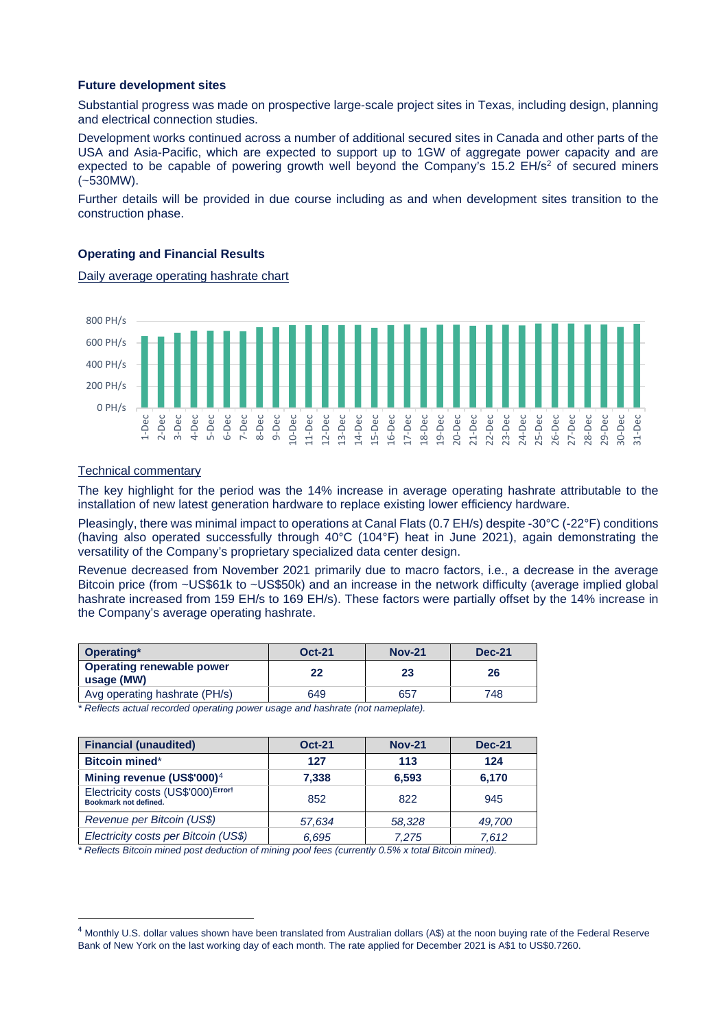#### **Future development sites**

Substantial progress was made on prospective large-scale project sites in Texas, including design, planning and electrical connection studies.

Development works continued across a number of additional secured sites in Canada and other parts of the USA and Asia-Pacific, which are expected to support up to 1GW of aggregate power capacity and are expected to be capable of powering growth well beyond the Company's  $15.2$  EH/s<sup>2</sup> of secured miners (~530MW).

Further details will be provided in due course including as and when development sites transition to the construction phase.

#### **Operating and Financial Results**

Daily average operating hashrate chart



#### Technical commentary

The key highlight for the period was the 14% increase in average operating hashrate attributable to the installation of new latest generation hardware to replace existing lower efficiency hardware.

Pleasingly, there was minimal impact to operations at Canal Flats (0.7 EH/s) despite -30°C (-22°F) conditions (having also operated successfully through 40°C (104°F) heat in June 2021), again demonstrating the versatility of the Company's proprietary specialized data center design.

Revenue decreased from November 2021 primarily due to macro factors, i.e., a decrease in the average Bitcoin price (from ~US\$61k to ~US\$50k) and an increase in the network difficulty (average implied global hashrate increased from 159 EH/s to 169 EH/s). These factors were partially offset by the 14% increase in the Company's average operating hashrate.

| Operating*                                     | <b>Oct-21</b> | <b>Nov-21</b> | <b>Dec-21</b> |  |
|------------------------------------------------|---------------|---------------|---------------|--|
| <b>Operating renewable power</b><br>usage (MW) | 22            | 23            | 26            |  |
| Avg operating hashrate (PH/s)                  | 649           | 657           | 748           |  |

*\* Reflects actual recorded operating power usage and hashrate (not nameplate).* 

| <b>Financial (unaudited)</b>                                | <b>Oct-21</b> | <b>Nov-21</b> | <b>Dec-21</b> |
|-------------------------------------------------------------|---------------|---------------|---------------|
| <b>Bitcoin mined*</b>                                       | 127           | 113           | 124           |
| Mining revenue (US\$'000) <sup>4</sup>                      | 7.338         | 6,593         | 6,170         |
| Electricity costs (US\$'000)Error!<br>Bookmark not defined. | 852           | 822           | 945           |
| Revenue per Bitcoin (US\$)                                  | 57.634        | 58,328        | 49,700        |
| Electricity costs per Bitcoin (US\$)                        | 6.695         | 7.275         | 7.612         |

*\* Reflects Bitcoin mined post deduction of mining pool fees (currently 0.5% x total Bitcoin mined).*

<span id="page-2-0"></span> $4$  Monthly U.S. dollar values shown have been translated from Australian dollars (A\$) at the noon buying rate of the Federal Reserve Bank of New York on the last working day of each month. The rate applied for December 2021 is A\$1 to US\$0.7260.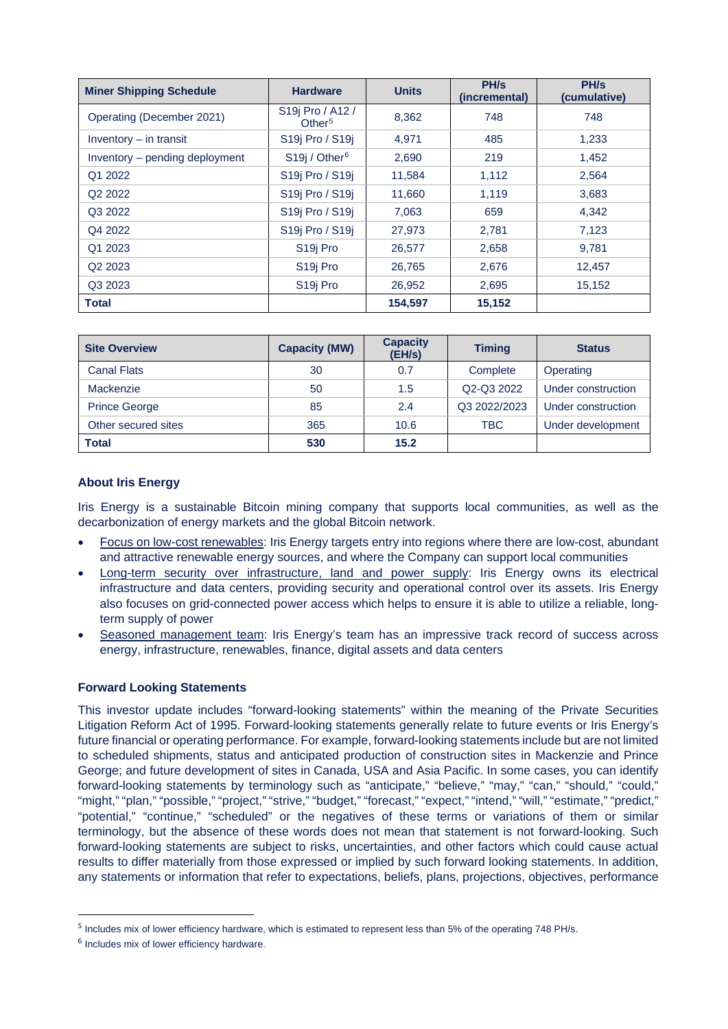| <b>Miner Shipping Schedule</b> | <b>Hardware</b>                        | <b>Units</b> | PH/s<br>(incremental) | PH/s<br>(cumulative) |
|--------------------------------|----------------------------------------|--------------|-----------------------|----------------------|
| Operating (December 2021)      | S19j Pro / A12 /<br>Other <sup>5</sup> | 8,362        | 748                   | 748                  |
| Inventory $-$ in transit       | S19j Pro / S19j                        | 4.971        | 485                   | 1,233                |
| Inventory – pending deployment | S19j / Other <sup>6</sup>              | 2,690        | 219                   | 1.452                |
| Q1 2022                        | S19j Pro / S19j                        | 11,584       | 1,112                 | 2,564                |
| Q <sub>2</sub> 2022            | S19j Pro / S19j                        | 11,660       | 1,119                 | 3,683                |
| Q3 2022                        | S19j Pro / S19j                        | 7,063        | 659                   | 4,342                |
| Q4 2022                        | S <sub>19</sub> Pro / S <sub>19</sub>  | 27,973       | 2,781                 | 7,123                |
| Q1 2023                        | S <sub>19</sub> Pro                    | 26,577       | 2,658                 | 9.781                |
| Q <sub>2</sub> 2023            | S <sub>19</sub> Pro                    | 26,765       | 2,676                 | 12,457               |
| Q3 2023                        | S <sub>19</sub> Pro                    | 26,952       | 2,695                 | 15,152               |
| <b>Total</b>                   |                                        | 154,597      | 15,152                |                      |

| <b>Site Overview</b> | <b>Capacity (MW)</b> | <b>Capacity</b><br>(EH/s) | <b>Timing</b> | <b>Status</b>      |
|----------------------|----------------------|---------------------------|---------------|--------------------|
| <b>Canal Flats</b>   | 30                   | 0.7                       | Complete      | Operating          |
| Mackenzie            | 50                   | 1.5                       | Q2-Q3 2022    | Under construction |
| <b>Prince George</b> | 85                   | 2.4                       | Q3 2022/2023  | Under construction |
| Other secured sites  | 365                  | 10.6                      | TBC           | Under development  |
| <b>Total</b>         | 530                  | 15.2                      |               |                    |

#### **About Iris Energy**

Iris Energy is a sustainable Bitcoin mining company that supports local communities, as well as the decarbonization of energy markets and the global Bitcoin network.

- Focus on low-cost renewables: Iris Energy targets entry into regions where there are low-cost, abundant and attractive renewable energy sources, and where the Company can support local communities
- Long-term security over infrastructure, land and power supply: Iris Energy owns its electrical infrastructure and data centers, providing security and operational control over its assets. Iris Energy also focuses on grid-connected power access which helps to ensure it is able to utilize a reliable, longterm supply of power
- Seasoned management team: Iris Energy's team has an impressive track record of success across energy, infrastructure, renewables, finance, digital assets and data centers

#### **Forward Looking Statements**

This investor update includes "forward-looking statements" within the meaning of the Private Securities Litigation Reform Act of 1995. Forward-looking statements generally relate to future events or Iris Energy's future financial or operating performance. For example, forward-looking statements include but are not limited to scheduled shipments, status and anticipated production of construction sites in Mackenzie and Prince George; and future development of sites in Canada, USA and Asia Pacific. In some cases, you can identify forward-looking statements by terminology such as "anticipate," "believe," "may," "can," "should," "could," "might," "plan," "possible," "project," "strive," "budget," "forecast," "expect," "intend," "will," "estimate," "predict," "potential," "continue," "scheduled" or the negatives of these terms or variations of them or similar terminology, but the absence of these words does not mean that statement is not forward-looking. Such forward-looking statements are subject to risks, uncertainties, and other factors which could cause actual results to differ materially from those expressed or implied by such forward looking statements. In addition, any statements or information that refer to expectations, beliefs, plans, projections, objectives, performance

<span id="page-3-0"></span><sup>&</sup>lt;sup>5</sup> Includes mix of lower efficiency hardware, which is estimated to represent less than 5% of the operating 748 PH/s.

<span id="page-3-1"></span><sup>6</sup> Includes mix of lower efficiency hardware.